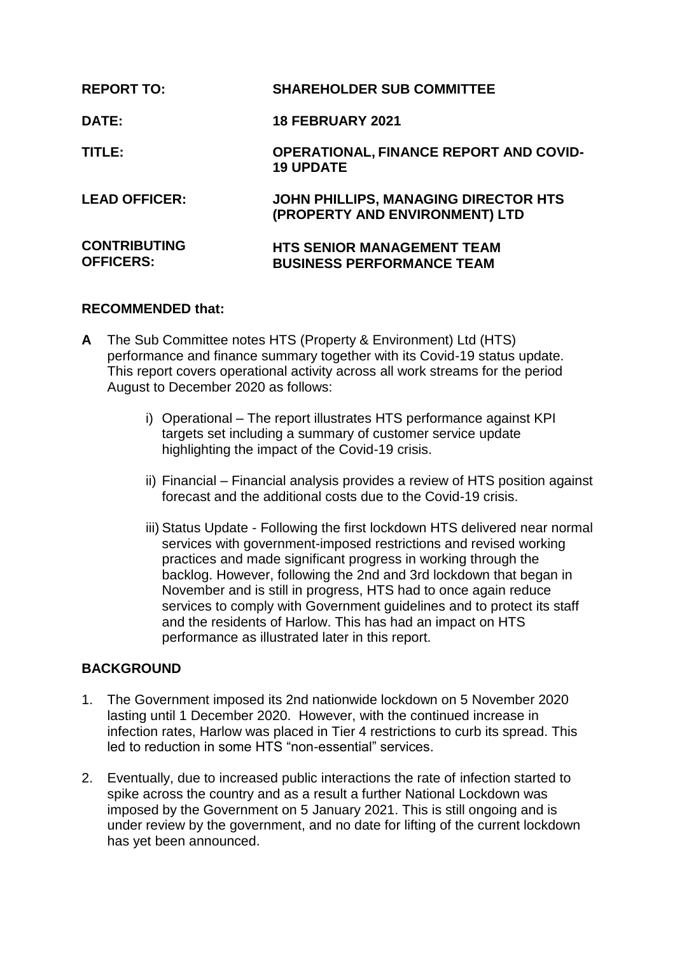| <b>REPORT TO:</b>                       | <b>SHAREHOLDER SUB COMMITTEE</b>                                       |
|-----------------------------------------|------------------------------------------------------------------------|
| <b>DATE:</b>                            | <b>18 FEBRUARY 2021</b>                                                |
| TITLE:                                  | <b>OPERATIONAL, FINANCE REPORT AND COVID-</b><br><b>19 UPDATE</b>      |
| <b>LEAD OFFICER:</b>                    | JOHN PHILLIPS, MANAGING DIRECTOR HTS<br>(PROPERTY AND ENVIRONMENT) LTD |
| <b>CONTRIBUTING</b><br><b>OFFICERS:</b> | <b>HTS SENIOR MANAGEMENT TEAM</b><br><b>BUSINESS PERFORMANCE TEAM</b>  |

## **RECOMMENDED that:**

- **A** The Sub Committee notes HTS (Property & Environment) Ltd (HTS) performance and finance summary together with its Covid-19 status update. This report covers operational activity across all work streams for the period August to December 2020 as follows:
	- i) Operational The report illustrates HTS performance against KPI targets set including a summary of customer service update highlighting the impact of the Covid-19 crisis.
	- ii) Financial Financial analysis provides a review of HTS position against forecast and the additional costs due to the Covid-19 crisis.
	- iii) Status Update Following the first lockdown HTS delivered near normal services with government-imposed restrictions and revised working practices and made significant progress in working through the backlog. However, following the 2nd and 3rd lockdown that began in November and is still in progress, HTS had to once again reduce services to comply with Government guidelines and to protect its staff and the residents of Harlow. This has had an impact on HTS performance as illustrated later in this report.

## **BACKGROUND**

- 1. The Government imposed its 2nd nationwide lockdown on 5 November 2020 lasting until 1 December 2020. However, with the continued increase in infection rates, Harlow was placed in Tier 4 restrictions to curb its spread. This led to reduction in some HTS "non-essential" services.
- 2. Eventually, due to increased public interactions the rate of infection started to spike across the country and as a result a further National Lockdown was imposed by the Government on 5 January 2021. This is still ongoing and is under review by the government, and no date for lifting of the current lockdown has yet been announced.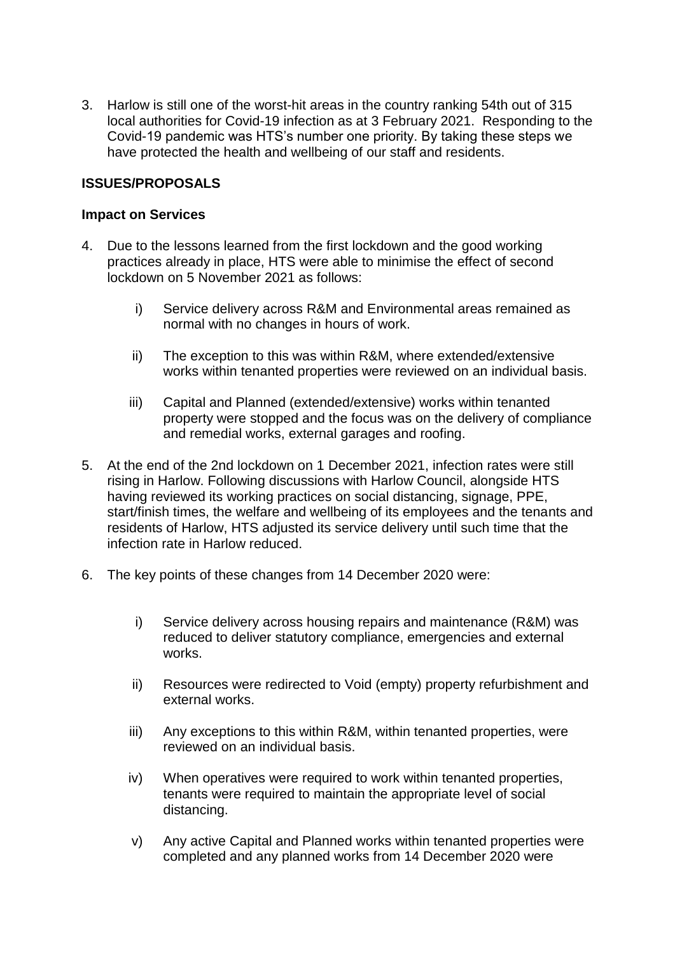3. Harlow is still one of the worst-hit areas in the country ranking 54th out of 315 local authorities for Covid-19 infection as at 3 February 2021. Responding to the Covid-19 pandemic was HTS's number one priority. By taking these steps we have protected the health and wellbeing of our staff and residents.

## **ISSUES/PROPOSALS**

#### **Impact on Services**

- 4. Due to the lessons learned from the first lockdown and the good working practices already in place, HTS were able to minimise the effect of second lockdown on 5 November 2021 as follows:
	- i) Service delivery across R&M and Environmental areas remained as normal with no changes in hours of work.
	- ii) The exception to this was within R&M, where extended/extensive works within tenanted properties were reviewed on an individual basis.
	- iii) Capital and Planned (extended/extensive) works within tenanted property were stopped and the focus was on the delivery of compliance and remedial works, external garages and roofing.
- 5. At the end of the 2nd lockdown on 1 December 2021, infection rates were still rising in Harlow. Following discussions with Harlow Council, alongside HTS having reviewed its working practices on social distancing, signage, PPE, start/finish times, the welfare and wellbeing of its employees and the tenants and residents of Harlow, HTS adjusted its service delivery until such time that the infection rate in Harlow reduced.
- 6. The key points of these changes from 14 December 2020 were:
	- i) Service delivery across housing repairs and maintenance (R&M) was reduced to deliver statutory compliance, emergencies and external works.
	- ii) Resources were redirected to Void (empty) property refurbishment and external works.
	- iii) Any exceptions to this within R&M, within tenanted properties, were reviewed on an individual basis.
	- iv) When operatives were required to work within tenanted properties, tenants were required to maintain the appropriate level of social distancing.
	- v) Any active Capital and Planned works within tenanted properties were completed and any planned works from 14 December 2020 were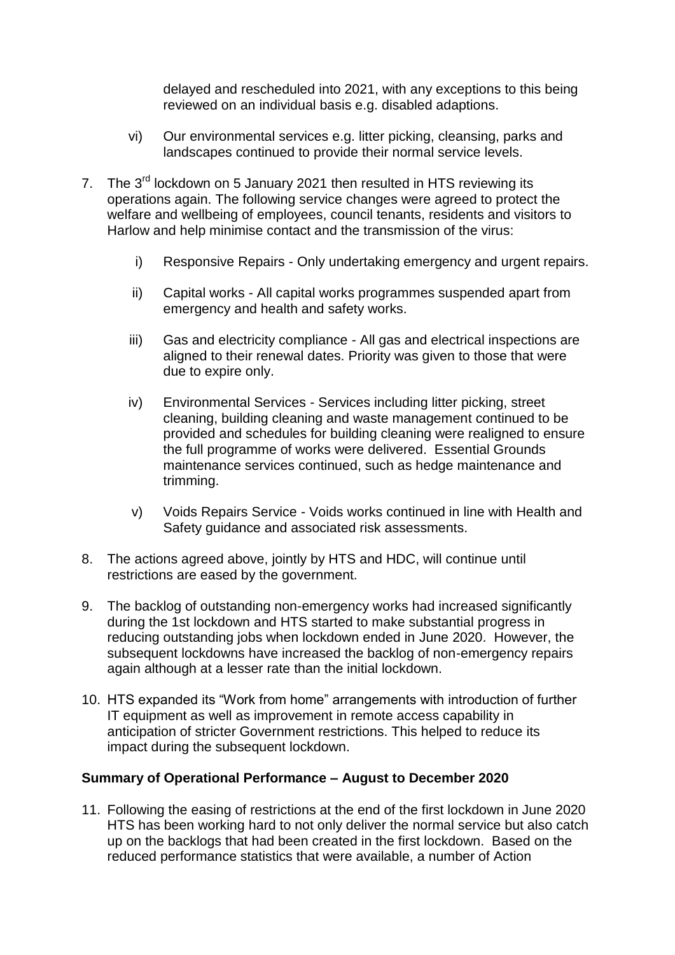delayed and rescheduled into 2021, with any exceptions to this being reviewed on an individual basis e.g. disabled adaptions.

- vi) Our environmental services e.g. litter picking, cleansing, parks and landscapes continued to provide their normal service levels.
- 7. The 3<sup>rd</sup> lockdown on 5 January 2021 then resulted in HTS reviewing its operations again. The following service changes were agreed to protect the welfare and wellbeing of employees, council tenants, residents and visitors to Harlow and help minimise contact and the transmission of the virus:
	- i) Responsive Repairs Only undertaking emergency and urgent repairs.
	- ii) Capital works All capital works programmes suspended apart from emergency and health and safety works.
	- iii) Gas and electricity compliance All gas and electrical inspections are aligned to their renewal dates. Priority was given to those that were due to expire only.
	- iv) Environmental Services Services including litter picking, street cleaning, building cleaning and waste management continued to be provided and schedules for building cleaning were realigned to ensure the full programme of works were delivered. Essential Grounds maintenance services continued, such as hedge maintenance and trimming.
	- v) Voids Repairs Service Voids works continued in line with Health and Safety guidance and associated risk assessments.
- 8. The actions agreed above, jointly by HTS and HDC, will continue until restrictions are eased by the government.
- 9. The backlog of outstanding non-emergency works had increased significantly during the 1st lockdown and HTS started to make substantial progress in reducing outstanding jobs when lockdown ended in June 2020. However, the subsequent lockdowns have increased the backlog of non-emergency repairs again although at a lesser rate than the initial lockdown.
- 10. HTS expanded its "Work from home" arrangements with introduction of further IT equipment as well as improvement in remote access capability in anticipation of stricter Government restrictions. This helped to reduce its impact during the subsequent lockdown.

## **Summary of Operational Performance – August to December 2020**

11. Following the easing of restrictions at the end of the first lockdown in June 2020 HTS has been working hard to not only deliver the normal service but also catch up on the backlogs that had been created in the first lockdown. Based on the reduced performance statistics that were available, a number of Action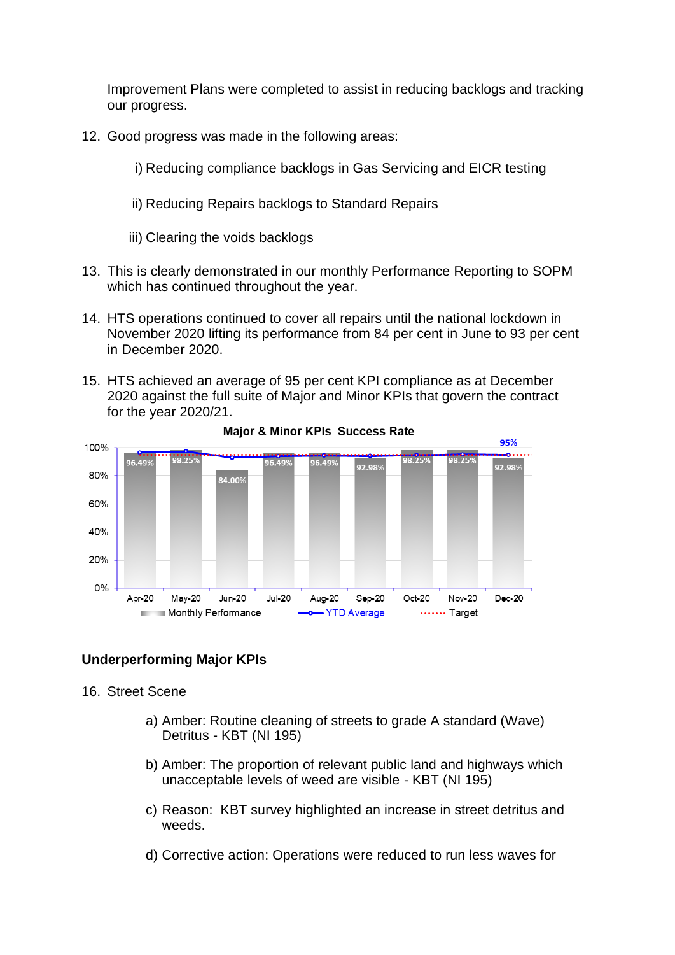Improvement Plans were completed to assist in reducing backlogs and tracking our progress.

- 12. Good progress was made in the following areas:
	- i) Reducing compliance backlogs in Gas Servicing and EICR testing
	- ii) Reducing Repairs backlogs to Standard Repairs

iii) Clearing the voids backlogs

- 13. This is clearly demonstrated in our monthly Performance Reporting to SOPM which has continued throughout the year.
- 14. HTS operations continued to cover all repairs until the national lockdown in November 2020 lifting its performance from 84 per cent in June to 93 per cent in December 2020.
- 15. HTS achieved an average of 95 per cent KPI compliance as at December 2020 against the full suite of Major and Minor KPIs that govern the contract for the year 2020/21.



Major & Minor KPIs Success Rate

#### **Underperforming Major KPIs**

16. Street Scene

- a) Amber: Routine cleaning of streets to grade A standard (Wave) Detritus - KBT (NI 195)
- b) Amber: The proportion of relevant public land and highways which unacceptable levels of weed are visible - KBT (NI 195)
- c) Reason: KBT survey highlighted an increase in street detritus and weeds.
- d) Corrective action: Operations were reduced to run less waves for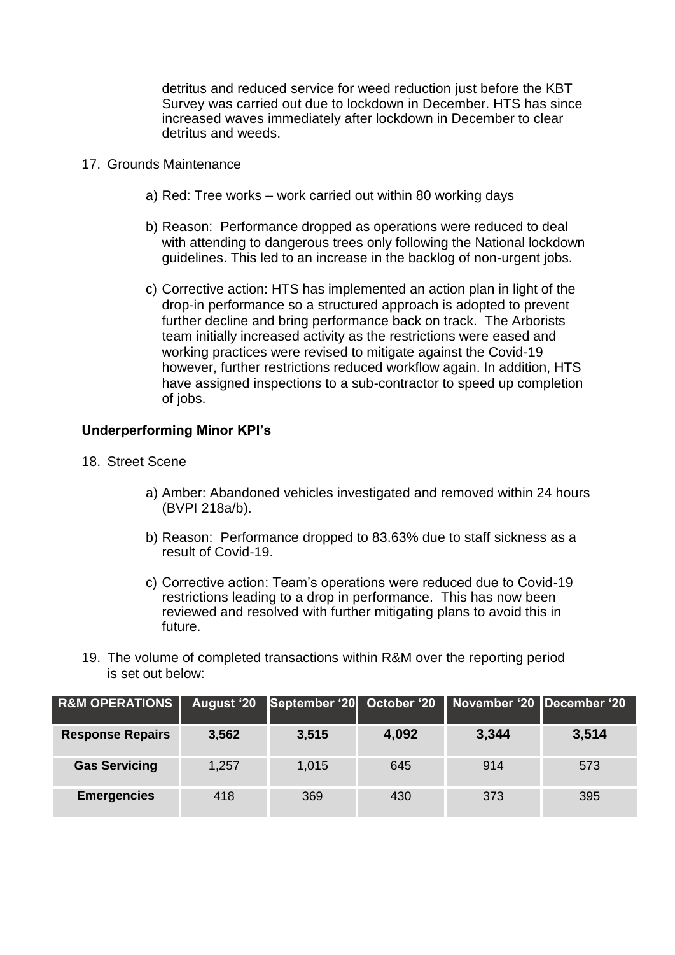detritus and reduced service for weed reduction just before the KBT Survey was carried out due to lockdown in December. HTS has since increased waves immediately after lockdown in December to clear detritus and weeds.

- 17. Grounds Maintenance
	- a) Red: Tree works work carried out within 80 working days
	- b) Reason: Performance dropped as operations were reduced to deal with attending to dangerous trees only following the National lockdown guidelines. This led to an increase in the backlog of non-urgent jobs.
	- c) Corrective action: HTS has implemented an action plan in light of the drop-in performance so a structured approach is adopted to prevent further decline and bring performance back on track. The Arborists team initially increased activity as the restrictions were eased and working practices were revised to mitigate against the Covid-19 however, further restrictions reduced workflow again. In addition, HTS have assigned inspections to a sub-contractor to speed up completion of jobs.

#### **Underperforming Minor KPI's**

- 18. Street Scene
	- a) Amber: Abandoned vehicles investigated and removed within 24 hours (BVPI 218a/b).
	- b) Reason: Performance dropped to 83.63% due to staff sickness as a result of Covid-19.
	- c) Corrective action: Team's operations were reduced due to Covid-19 restrictions leading to a drop in performance. This has now been reviewed and resolved with further mitigating plans to avoid this in future.
- 19. The volume of completed transactions within R&M over the reporting period is set out below:

| <b>R&amp;M OPERATIONS</b> | <b>August '20</b> |       |       | September '20 October '20 November '20 December '20 |       |
|---------------------------|-------------------|-------|-------|-----------------------------------------------------|-------|
| <b>Response Repairs</b>   | 3,562             | 3,515 | 4,092 | 3,344                                               | 3,514 |
| <b>Gas Servicing</b>      | 1,257             | 1,015 | 645   | 914                                                 | 573   |
| <b>Emergencies</b>        | 418               | 369   | 430   | 373                                                 | 395   |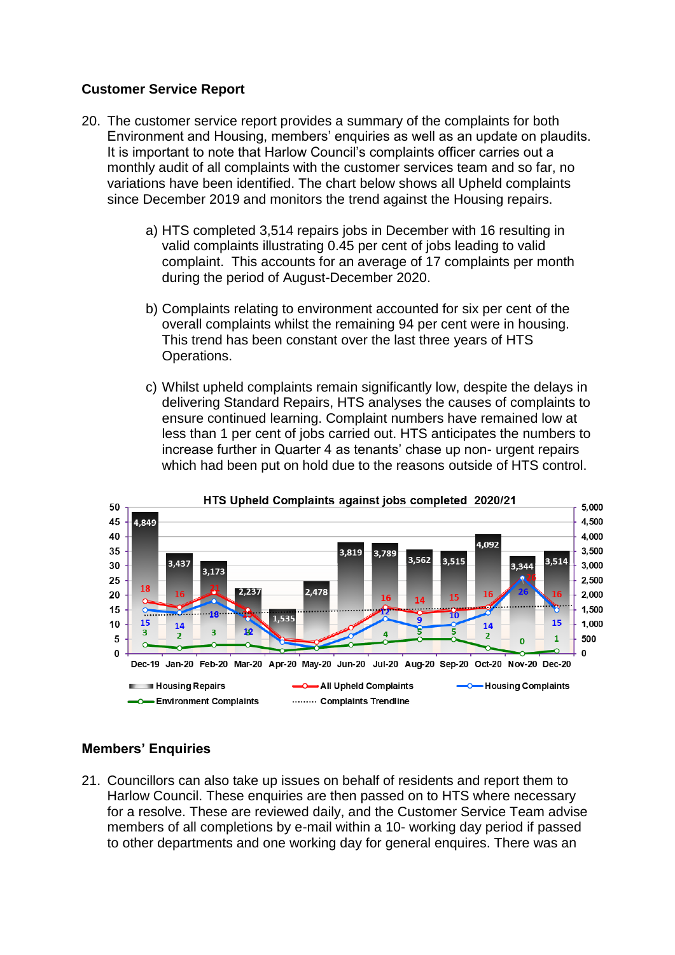## **Customer Service Report**

- 20. The customer service report provides a summary of the complaints for both Environment and Housing, members' enquiries as well as an update on plaudits. It is important to note that Harlow Council's complaints officer carries out a monthly audit of all complaints with the customer services team and so far, no variations have been identified. The chart below shows all Upheld complaints since December 2019 and monitors the trend against the Housing repairs.
	- a) HTS completed 3,514 repairs jobs in December with 16 resulting in valid complaints illustrating 0.45 per cent of jobs leading to valid complaint. This accounts for an average of 17 complaints per month during the period of August-December 2020.
	- b) Complaints relating to environment accounted for six per cent of the overall complaints whilst the remaining 94 per cent were in housing. This trend has been constant over the last three years of HTS Operations.
	- c) Whilst upheld complaints remain significantly low, despite the delays in delivering Standard Repairs, HTS analyses the causes of complaints to ensure continued learning. Complaint numbers have remained low at less than 1 per cent of jobs carried out. HTS anticipates the numbers to increase further in Quarter 4 as tenants' chase up non- urgent repairs which had been put on hold due to the reasons outside of HTS control.



## **Members' Enquiries**

21. Councillors can also take up issues on behalf of residents and report them to Harlow Council. These enquiries are then passed on to HTS where necessary for a resolve. These are reviewed daily, and the Customer Service Team advise members of all completions by e-mail within a 10- working day period if passed to other departments and one working day for general enquires. There was an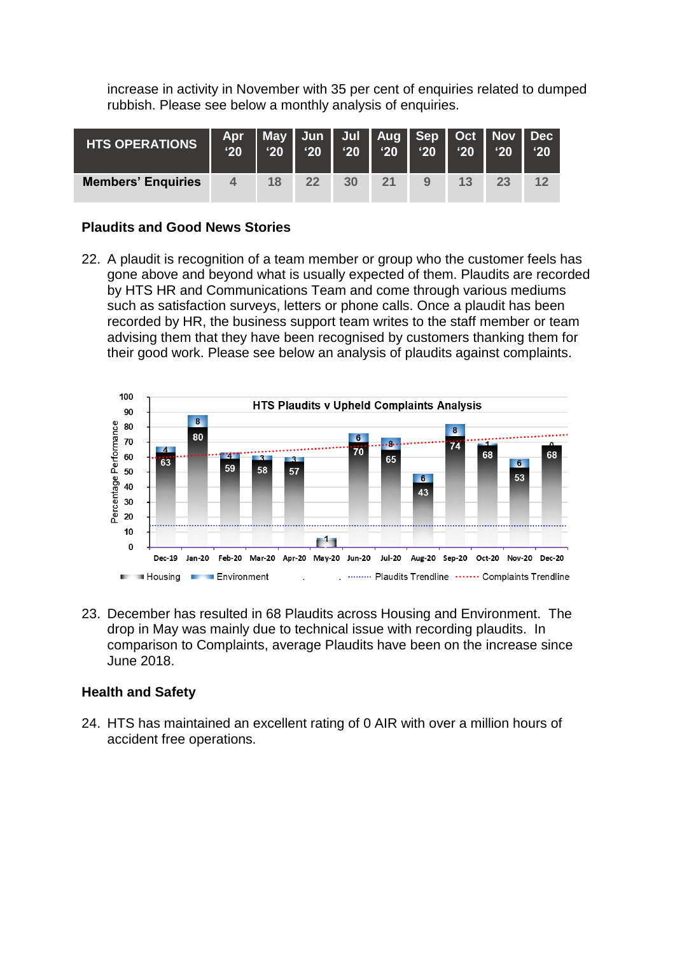increase in activity in November with 35 per cent of enquiries related to dumped rubbish. Please see below a monthly analysis of enquiries.

| <b>HTS OPERATIONS</b>     | $^{\prime}20$ | $^{\prime}20$ | Apr   May   Jun   Jul   Aug   Sep   Oct   Nov   Dec<br>$^{\prime}20$ | $^{\circ}20$ | $^{\prime}20$ | $^{\prime}20$ | $^{\prime}20$ | $^{\prime}20$ | $^{\prime}20$ |
|---------------------------|---------------|---------------|----------------------------------------------------------------------|--------------|---------------|---------------|---------------|---------------|---------------|
| <b>Members' Enquiries</b> | 4             | 18            | 22                                                                   | 30           | 21            | 9             | 13            | 23            | 12            |

## **Plaudits and Good News Stories**

22. A plaudit is recognition of a team member or group who the customer feels has gone above and beyond what is usually expected of them. Plaudits are recorded by HTS HR and Communications Team and come through various mediums such as satisfaction surveys, letters or phone calls. Once a plaudit has been recorded by HR, the business support team writes to the staff member or team advising them that they have been recognised by customers thanking them for their good work. Please see below an analysis of plaudits against complaints.



23. December has resulted in 68 Plaudits across Housing and Environment. The drop in May was mainly due to technical issue with recording plaudits. In comparison to Complaints, average Plaudits have been on the increase since June 2018.

#### **Health and Safety**

24. HTS has maintained an excellent rating of 0 AIR with over a million hours of accident free operations.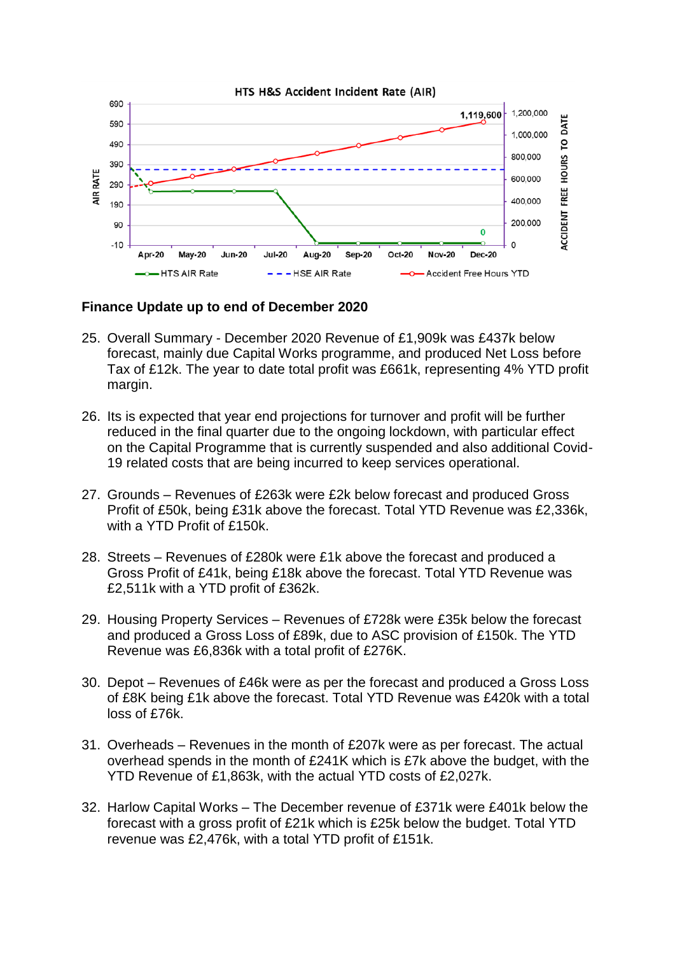

#### **Finance Update up to end of December 2020**

- 25. Overall Summary December 2020 Revenue of £1,909k was £437k below forecast, mainly due Capital Works programme, and produced Net Loss before Tax of £12k. The year to date total profit was £661k, representing 4% YTD profit margin.
- 26. Its is expected that year end projections for turnover and profit will be further reduced in the final quarter due to the ongoing lockdown, with particular effect on the Capital Programme that is currently suspended and also additional Covid-19 related costs that are being incurred to keep services operational.
- 27. Grounds Revenues of £263k were £2k below forecast and produced Gross Profit of £50k, being £31k above the forecast. Total YTD Revenue was £2,336k, with a YTD Profit of £150k.
- 28. Streets Revenues of £280k were £1k above the forecast and produced a Gross Profit of £41k, being £18k above the forecast. Total YTD Revenue was £2,511k with a YTD profit of £362k.
- 29. Housing Property Services Revenues of £728k were £35k below the forecast and produced a Gross Loss of £89k, due to ASC provision of £150k. The YTD Revenue was £6,836k with a total profit of £276K.
- 30. Depot Revenues of £46k were as per the forecast and produced a Gross Loss of £8K being £1k above the forecast. Total YTD Revenue was £420k with a total loss of £76k.
- 31. Overheads Revenues in the month of £207k were as per forecast. The actual overhead spends in the month of £241K which is £7k above the budget, with the YTD Revenue of £1,863k, with the actual YTD costs of £2,027k.
- 32. Harlow Capital Works The December revenue of £371k were £401k below the forecast with a gross profit of £21k which is £25k below the budget. Total YTD revenue was £2,476k, with a total YTD profit of £151k.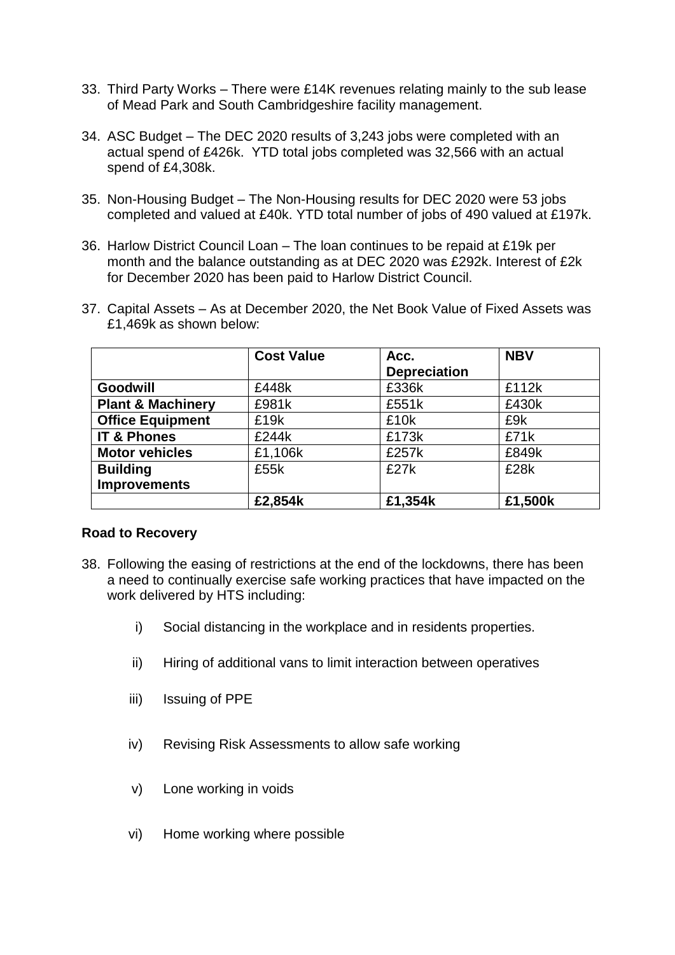- 33. Third Party Works There were £14K revenues relating mainly to the sub lease of Mead Park and South Cambridgeshire facility management.
- 34. ASC Budget The DEC 2020 results of 3,243 jobs were completed with an actual spend of £426k. YTD total jobs completed was 32,566 with an actual spend of £4,308k.
- 35. Non-Housing Budget The Non-Housing results for DEC 2020 were 53 jobs completed and valued at £40k. YTD total number of jobs of 490 valued at £197k.
- 36. Harlow District Council Loan The loan continues to be repaid at £19k per month and the balance outstanding as at DEC 2020 was £292k. Interest of £2k for December 2020 has been paid to Harlow District Council.
- 37. Capital Assets As at December 2020, the Net Book Value of Fixed Assets was £1,469k as shown below:

|                              | <b>Cost Value</b> | <b>NBV</b><br>Acc.  |         |
|------------------------------|-------------------|---------------------|---------|
|                              |                   | <b>Depreciation</b> |         |
| <b>Goodwill</b>              | £448k             | £336k               | £112k   |
| <b>Plant &amp; Machinery</b> | £981k             | £551k               | £430k   |
| <b>Office Equipment</b>      | £19k              | £10k                | £9k     |
| <b>IT &amp; Phones</b>       | £244k             | £173k               | £71k    |
| <b>Motor vehicles</b>        | £1,106k           | £257k               | £849k   |
| <b>Building</b>              | £55k              | £27k                | £28k    |
| <b>Improvements</b>          |                   |                     |         |
|                              | £2,854k           | £1,354k             | £1,500k |

#### **Road to Recovery**

- 38. Following the easing of restrictions at the end of the lockdowns, there has been a need to continually exercise safe working practices that have impacted on the work delivered by HTS including:
	- i) Social distancing in the workplace and in residents properties.
	- ii) Hiring of additional vans to limit interaction between operatives
	- iii) Issuing of PPE
	- iv) Revising Risk Assessments to allow safe working
	- v) Lone working in voids
	- vi) Home working where possible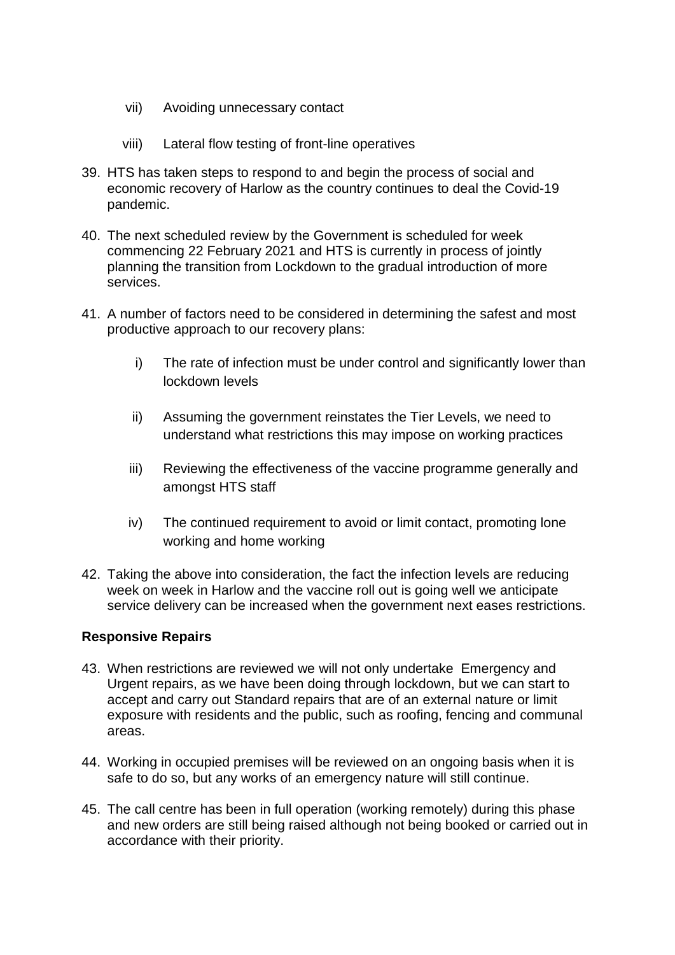- vii) Avoiding unnecessary contact
- viii) Lateral flow testing of front-line operatives
- 39. HTS has taken steps to respond to and begin the process of social and economic recovery of Harlow as the country continues to deal the Covid-19 pandemic.
- 40. The next scheduled review by the Government is scheduled for week commencing 22 February 2021 and HTS is currently in process of jointly planning the transition from Lockdown to the gradual introduction of more services.
- 41. A number of factors need to be considered in determining the safest and most productive approach to our recovery plans:
	- i) The rate of infection must be under control and significantly lower than lockdown levels
	- ii) Assuming the government reinstates the Tier Levels, we need to understand what restrictions this may impose on working practices
	- iii) Reviewing the effectiveness of the vaccine programme generally and amongst HTS staff
	- iv) The continued requirement to avoid or limit contact, promoting lone working and home working
- 42. Taking the above into consideration, the fact the infection levels are reducing week on week in Harlow and the vaccine roll out is going well we anticipate service delivery can be increased when the government next eases restrictions.

## **Responsive Repairs**

- 43. When restrictions are reviewed we will not only undertake Emergency and Urgent repairs, as we have been doing through lockdown, but we can start to accept and carry out Standard repairs that are of an external nature or limit exposure with residents and the public, such as roofing, fencing and communal areas.
- 44. Working in occupied premises will be reviewed on an ongoing basis when it is safe to do so, but any works of an emergency nature will still continue.
- 45. The call centre has been in full operation (working remotely) during this phase and new orders are still being raised although not being booked or carried out in accordance with their priority.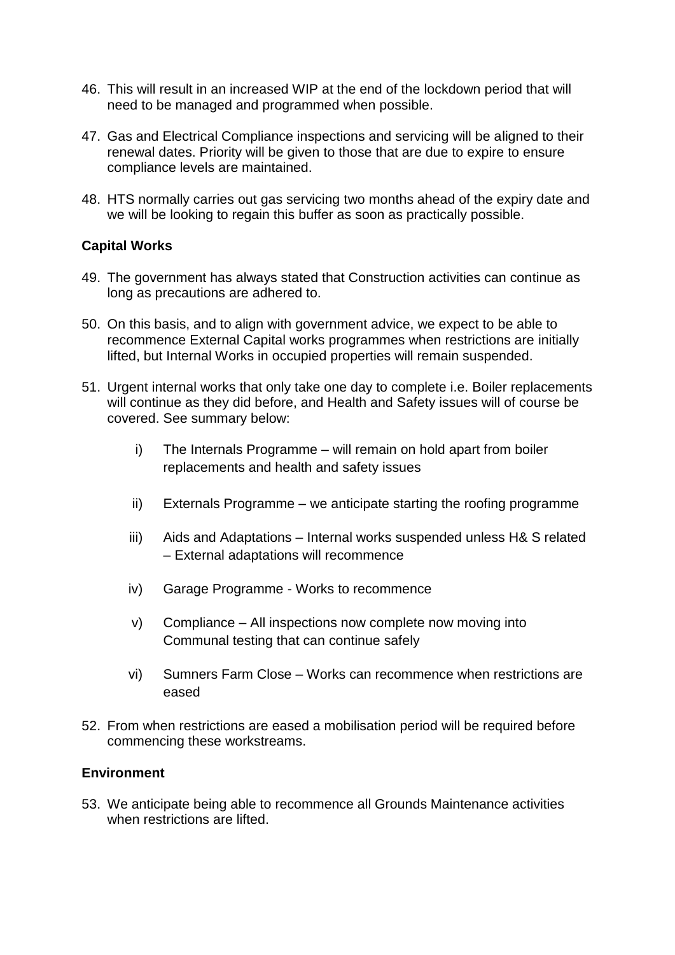- 46. This will result in an increased WIP at the end of the lockdown period that will need to be managed and programmed when possible.
- 47. Gas and Electrical Compliance inspections and servicing will be aligned to their renewal dates. Priority will be given to those that are due to expire to ensure compliance levels are maintained.
- 48. HTS normally carries out gas servicing two months ahead of the expiry date and we will be looking to regain this buffer as soon as practically possible.

## **Capital Works**

- 49. The government has always stated that Construction activities can continue as long as precautions are adhered to.
- 50. On this basis, and to align with government advice, we expect to be able to recommence External Capital works programmes when restrictions are initially lifted, but Internal Works in occupied properties will remain suspended.
- 51. Urgent internal works that only take one day to complete i.e. Boiler replacements will continue as they did before, and Health and Safety issues will of course be covered. See summary below:
	- i) The Internals Programme will remain on hold apart from boiler replacements and health and safety issues
	- ii) Externals Programme we anticipate starting the roofing programme
	- iii) Aids and Adaptations Internal works suspended unless H& S related – External adaptations will recommence
	- iv) Garage Programme Works to recommence
	- v) Compliance All inspections now complete now moving into Communal testing that can continue safely
	- vi) Sumners Farm Close Works can recommence when restrictions are eased
- 52. From when restrictions are eased a mobilisation period will be required before commencing these workstreams.

#### **Environment**

53. We anticipate being able to recommence all Grounds Maintenance activities when restrictions are lifted.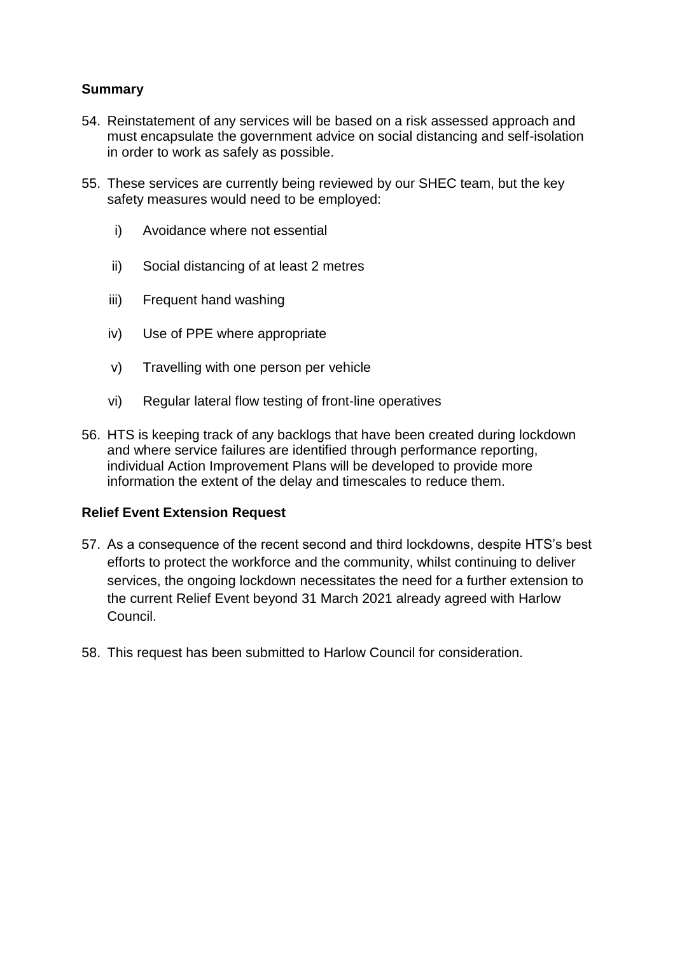## **Summary**

- 54. Reinstatement of any services will be based on a risk assessed approach and must encapsulate the government advice on social distancing and self-isolation in order to work as safely as possible.
- 55. These services are currently being reviewed by our SHEC team, but the key safety measures would need to be employed:
	- i) Avoidance where not essential
	- ii) Social distancing of at least 2 metres
	- iii) Frequent hand washing
	- iv) Use of PPE where appropriate
	- v) Travelling with one person per vehicle
	- vi) Regular lateral flow testing of front-line operatives
- 56. HTS is keeping track of any backlogs that have been created during lockdown and where service failures are identified through performance reporting, individual Action Improvement Plans will be developed to provide more information the extent of the delay and timescales to reduce them.

## **Relief Event Extension Request**

- 57. As a consequence of the recent second and third lockdowns, despite HTS's best efforts to protect the workforce and the community, whilst continuing to deliver services, the ongoing lockdown necessitates the need for a further extension to the current Relief Event beyond 31 March 2021 already agreed with Harlow Council.
- 58. This request has been submitted to Harlow Council for consideration.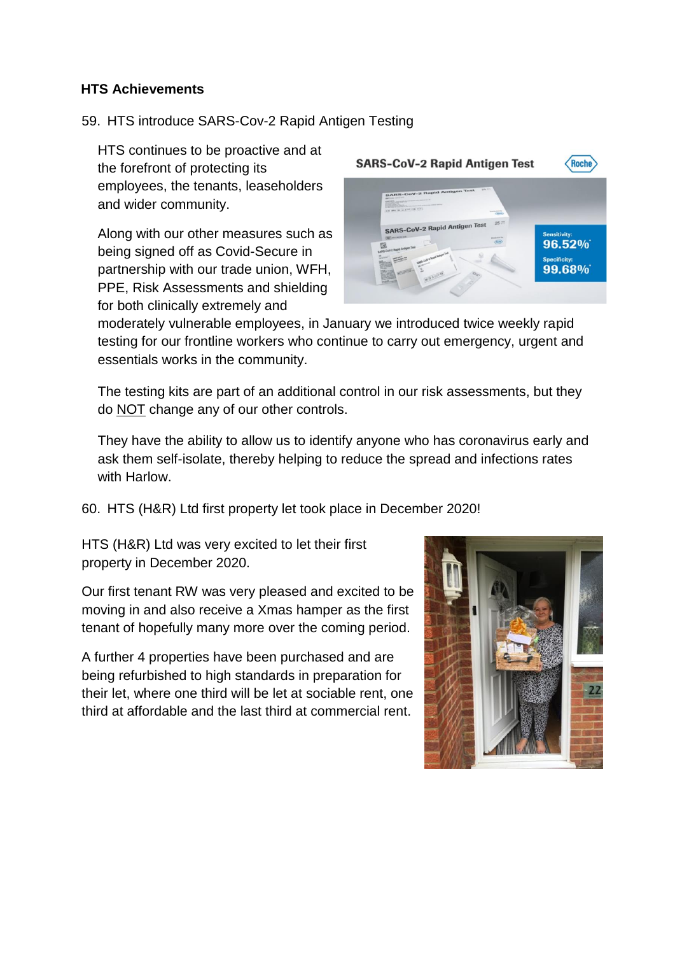## **HTS Achievements**

## 59. HTS introduce SARS-Cov-2 Rapid Antigen Testing

HTS continues to be proactive and at the forefront of protecting its employees, the tenants, leaseholders and wider community.

Along with our other measures such as being signed off as Covid-Secure in partnership with our trade union, WFH, PPE, Risk Assessments and shielding for both clinically extremely and



moderately vulnerable employees, in January we introduced twice weekly rapid testing for our frontline workers who continue to carry out emergency, urgent and essentials works in the community.

The testing kits are part of an additional control in our risk assessments, but they do NOT change any of our other controls.

They have the ability to allow us to identify anyone who has coronavirus early and ask them self-isolate, thereby helping to reduce the spread and infections rates with Harlow.

60. HTS (H&R) Ltd first property let took place in December 2020!

HTS (H&R) Ltd was very excited to let their first property in December 2020.

Our first tenant RW was very pleased and excited to be moving in and also receive a Xmas hamper as the first tenant of hopefully many more over the coming period.

A further 4 properties have been purchased and are being refurbished to high standards in preparation for their let, where one third will be let at sociable rent, one third at affordable and the last third at commercial rent.

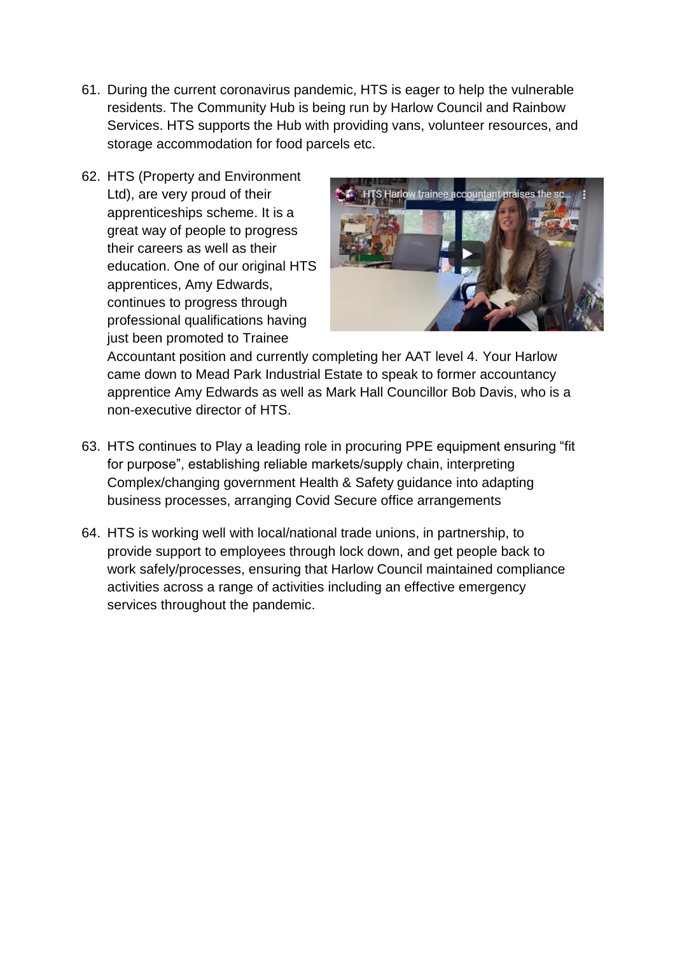- 61. During the current coronavirus pandemic, HTS is eager to help the vulnerable residents. The Community Hub is being run by Harlow Council and Rainbow Services. HTS supports the Hub with providing vans, volunteer resources, and storage accommodation for food parcels etc.
- 62. HTS (Property and Environment Ltd), are very proud of their apprenticeships scheme. It is a great way of people to progress their careers as well as their education. One of our original HTS apprentices, Amy Edwards, continues to progress through professional qualifications having just been promoted to Trainee



Accountant position and currently completing her AAT level 4. Your Harlow came down to Mead Park Industrial Estate to speak to former accountancy apprentice Amy Edwards as well as Mark Hall Councillor Bob Davis, who is a non-executive director of HTS.

- 63. HTS continues to Play a leading role in procuring PPE equipment ensuring "fit for purpose", establishing reliable markets/supply chain, interpreting Complex/changing government Health & Safety guidance into adapting business processes, arranging Covid Secure office arrangements
- 64. HTS is working well with local/national trade unions, in partnership, to provide support to employees through lock down, and get people back to work safely/processes, ensuring that Harlow Council maintained compliance activities across a range of activities including an effective emergency services throughout the pandemic.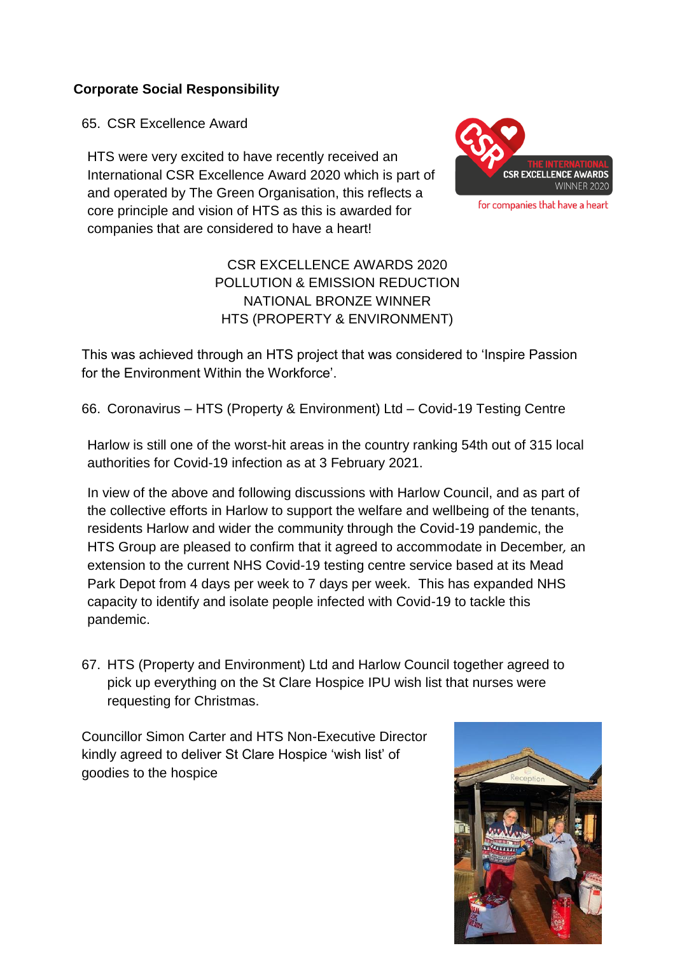## **Corporate Social Responsibility**

65. CSR Excellence Award

HTS were very excited to have recently received an International CSR Excellence Award 2020 which is part of and operated by The Green Organisation, this reflects a core principle and vision of HTS as this is awarded for companies that are considered to have a heart!



for companies that have a heart

# CSR EXCELLENCE AWARDS 2020 POLLUTION & EMISSION REDUCTION NATIONAL BRONZE WINNER HTS (PROPERTY & ENVIRONMENT)

This was achieved through an HTS project that was considered to 'Inspire Passion for the Environment Within the Workforce'.

66. Coronavirus – HTS (Property & Environment) Ltd – Covid-19 Testing Centre

Harlow is still one of the worst-hit areas in the country ranking 54th out of 315 local authorities for Covid-19 infection as at 3 February 2021.

In view of the above and following discussions with Harlow Council, and as part of the collective efforts in Harlow to support the welfare and wellbeing of the tenants, residents Harlow and wider the community through the Covid-19 pandemic, the HTS Group are pleased to confirm that it agreed to accommodate in December*,* an extension to the current NHS Covid-19 testing centre service based at its Mead Park Depot from 4 days per week to 7 days per week. This has expanded NHS capacity to identify and isolate people infected with Covid-19 to tackle this pandemic.

67. HTS (Property and Environment) Ltd and Harlow Council together agreed to pick up everything on the St Clare Hospice IPU wish list that nurses were requesting for Christmas.

Councillor Simon Carter and HTS Non-Executive Director kindly agreed to deliver St Clare Hospice 'wish list' of goodies to the hospice

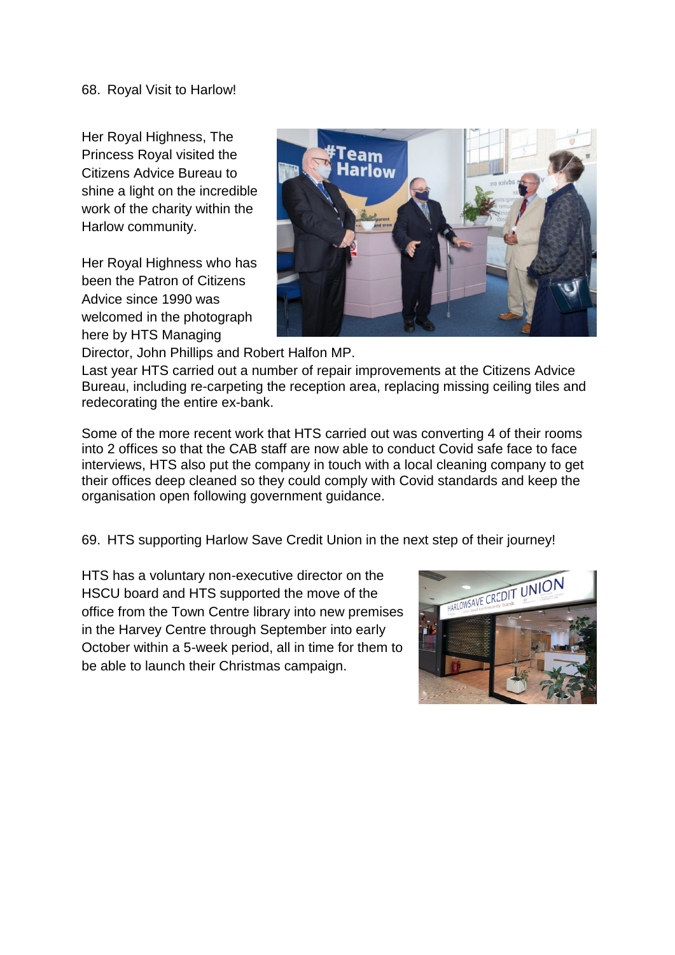Her Royal Highness, The Princess Royal visited the Citizens Advice Bureau to shine a light on the incredible work of the charity within the Harlow community.

Her Royal Highness who has been the Patron of Citizens Advice since 1990 was welcomed in the photograph here by HTS Managing



Director, John Phillips and Robert Halfon MP.

Last year HTS carried out a number of repair improvements at the Citizens Advice Bureau, including re-carpeting the reception area, replacing missing ceiling tiles and redecorating the entire ex-bank.

Some of the more recent work that HTS carried out was converting 4 of their rooms into 2 offices so that the CAB staff are now able to conduct Covid safe face to face interviews, HTS also put the company in touch with a local cleaning company to get their offices deep cleaned so they could comply with Covid standards and keep the organisation open following government guidance.

69. HTS supporting Harlow Save Credit Union in the next step of their journey!

HTS has a voluntary non-executive director on the HSCU board and HTS supported the move of the office from the Town Centre library into new premises in the Harvey Centre through September into early October within a 5-week period, all in time for them to be able to launch their Christmas campaign.